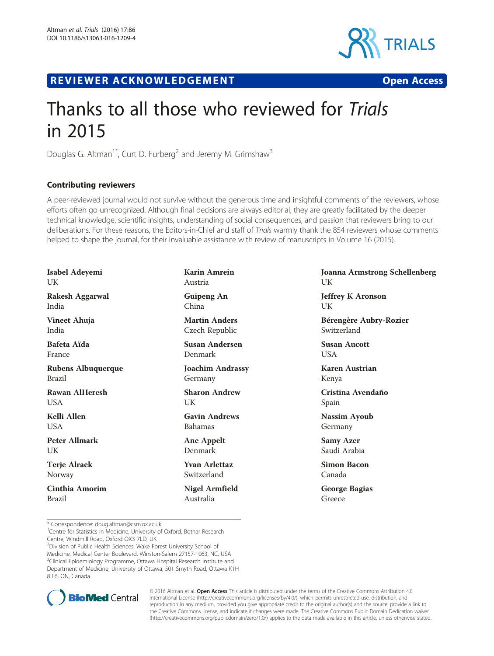

R EVI EW E R ACKNOW L EDG EM EN T Open Access



## Thanks to all those who reviewed for Trials in 2015

Douglas G. Altman<sup>1\*</sup>, Curt D. Furberg<sup>2</sup> and Jeremy M. Grimshaw<sup>3</sup>

## Contributing reviewers

A peer-reviewed journal would not survive without the generous time and insightful comments of the reviewers, whose efforts often go unrecognized. Although final decisions are always editorial, they are greatly facilitated by the deeper technical knowledge, scientific insights, understanding of social consequences, and passion that reviewers bring to our deliberations. For these reasons, the Editors-in-Chief and staff of Trials warmly thank the 854 reviewers whose comments helped to shape the journal, for their invaluable assistance with review of manuscripts in Volume 16 (2015).

| <b>Karin Amrein</b><br>Austria         |
|----------------------------------------|
| Guipeng An<br>China                    |
| <b>Martin Anders</b><br>Czech Republic |
| Susan Andersen<br>Denmark              |
| <b>Joachim Andrassy</b><br>Germany     |
| <b>Sharon Andrew</b><br>UK             |
| <b>Gavin Andrews</b><br><b>Bahamas</b> |
| Ane Appelt<br>Denmark                  |
|                                        |
| <b>Yvan Arlettaz</b><br>Switzerland    |
|                                        |

Joanna Armstrong Schellenberg UK

Jeffrey K Aronson UK

Bérengère Aubry-Rozier Switzerland

Susan Aucott USA

Karen Austrian Kenya

Cristina Avendaño Spain

Nassim Ayoub Germany

Samy Azer Saudi Arabia

Simon Bacon Canada

George Bagias Greece

<sup>1</sup> Centre for Statistics in Medicine, University of Oxford, Botnar Research Centre, Windmill Road, Oxford OX3 7LD, UK

<sup>2</sup>Division of Public Health Sciences, Wake Forest University School of Medicine, Medical Center Boulevard, Winston-Salem 27157-1063, NC, USA <sup>3</sup>Clinical Epidemiology Programme, Ottawa Hospital Research Institute and Department of Medicine, University of Ottawa, 501 Smyth Road, Ottawa K1H 8 L6, ON, Canada



© 2016 Altman et al. Open Access This article is distributed under the terms of the Creative Commons Attribution 4.0 International License [\(http://creativecommons.org/licenses/by/4.0/](http://creativecommons.org/licenses/by/4.0/)), which permits unrestricted use, distribution, and reproduction in any medium, provided you give appropriate credit to the original author(s) and the source, provide a link to the Creative Commons license, and indicate if changes were made. The Creative Commons Public Domain Dedication waiver [\(http://creativecommons.org/publicdomain/zero/1.0/](http://creativecommons.org/publicdomain/zero/1.0/)) applies to the data made available in this article, unless otherwise stated.

<sup>\*</sup> Correspondence: [doug.altman@csm.ox.ac.uk](mailto:doug.altman@csm.ox.ac.uk) <sup>1</sup>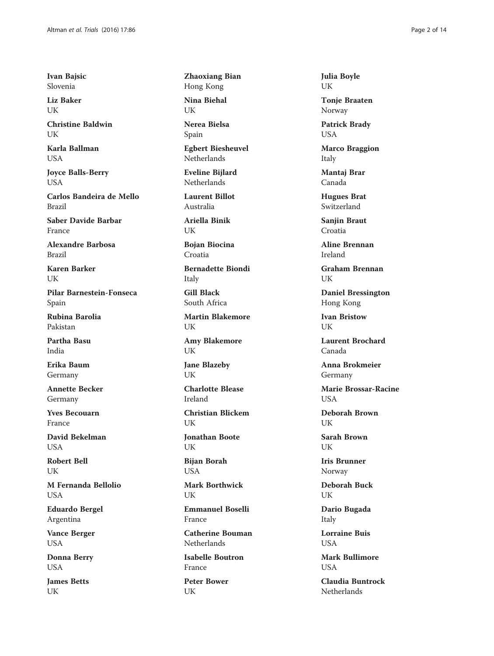Ivan Bajsic Slovenia

Liz Baker UK

Christine Baldwin I IK

Karla Ballman **USA** 

Joyce Balls-Berry USA

Carlos Bandeira de Mello Brazil

Saber Davide Barbar France

Alexandre Barbosa Brazil

Karen Barker UK

Pilar Barnestein-Fonseca Spain

Rubina Barolia Pakistan

Partha Basu India

Erika Baum Germany

Annette Becker Germany

Yves Becouarn France

David Bekelman **USA** 

Robert Bell UK

M Fernanda Bellolio **USA** 

Eduardo Bergel Argentina

Vance Berger USA

Donna Berry USA

James Betts UK

Zhaoxiang Bian Hong Kong Nina Biehal

UK

Nerea Bielsa Spain

Egbert Biesheuvel Netherlands

Eveline Bijlard Netherlands

Laurent Billot Australia

Ariella Binik UK

Bojan Biocina Croatia

Bernadette Biondi Italy

Gill Black South Africa

Martin Blakemore UK

Amy Blakemore UK

Jane Blazeby UK

Charlotte Blease Ireland

Christian Blickem UK

Jonathan Boote UK

Bijan Borah **USA** 

Mark Borthwick UK

Emmanuel Boselli France

Catherine Bouman Netherlands

Isabelle Boutron France

Peter Bower UK

Julia Boyle UK

Tonje Braaten Norway

Patrick Brady USA

Marco Braggion Italy

Mantaj Brar Canada

Hugues Brat Switzerland

Sanjin Braut Croatia

Aline Brennan Ireland

Graham Brennan UK

Daniel Bressington Hong Kong

Ivan Bristow UK

Laurent Brochard Canada

Anna Brokmeier Germany

Marie Brossar-Racine **USA** 

Deborah Brown UK

Sarah Brown UK

Iris Brunner Norway

Deborah Buck UK

Dario Bugada Italy

Lorraine Buis **USA** 

Mark Bullimore **USA** 

Claudia Buntrock **Netherlands**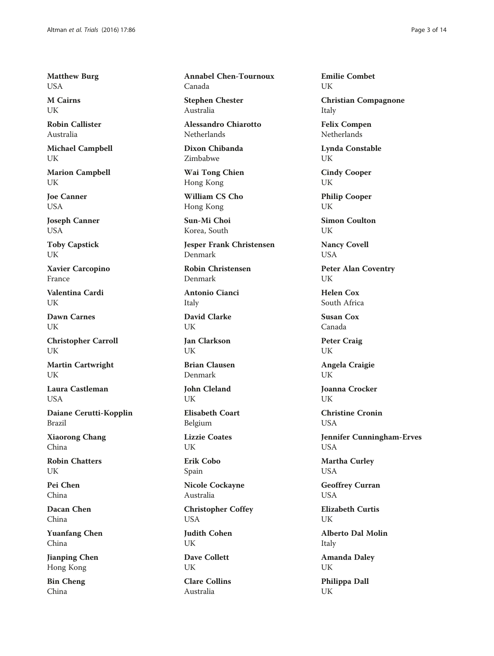Matthew Burg USA

M Cairns UK

Robin Callister Australia

Michael Campbell UK

Marion Campbell UK

Joe Canner USA

Joseph Canner USA

Toby Capstick UK

Xavier Carcopino France

Valentina Cardi UK

Dawn Carnes UK

Christopher Carroll UK

Martin Cartwright I IK

Laura Castleman USA

Daiane Cerutti-Kopplin Brazil

Xiaorong Chang China

Robin Chatters UK

Pei Chen China

Dacan Chen China

Yuanfang Chen China

Jianping Chen Hong Kong

Bin Cheng China

Annabel Chen-Tournoux Canada

Stephen Chester Australia

Alessandro Chiarotto Netherlands

Dixon Chibanda Zimbabwe

Wai Tong Chien Hong Kong

William CS Cho Hong Kong

Sun-Mi Choi Korea, South

Jesper Frank Christensen Denmark

Robin Christensen Denmark

Antonio Cianci Italy

David Clarke UK

Jan Clarkson UK

Brian Clausen Denmark

John Cleland UK

Elisabeth Coart Belgium

Lizzie Coates UK

Erik Cobo Spain

Nicole Cockayne Australia

Christopher Coffey **USA** 

Judith Cohen UK

Dave Collett UK Clare Collins Australia

Emilie Combet UK

Christian Compagnone Italy

Felix Compen **Netherlands** 

Lynda Constable UK

Cindy Cooper UK

Philip Cooper UK

Simon Coulton UK

Nancy Covell USA

Peter Alan Coventry UK

Helen Cox South Africa

Susan Cox Canada

Peter Craig UK

Angela Craigie UK

Joanna Crocker UK

Christine Cronin **USA** 

Jennifer Cunningham-Erves USA

Martha Curley USA

Geoffrey Curran USA

Elizabeth Curtis UK

Alberto Dal Molin Italy

Amanda Daley UK

Philippa Dall UK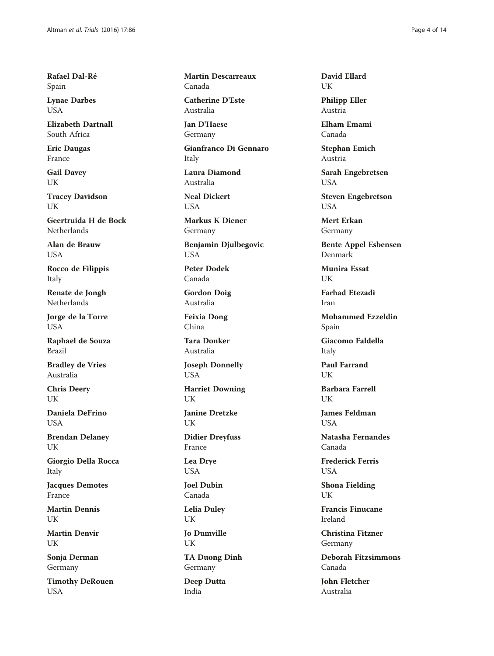Rafael Dal-Ré Spain

Lynae Darbes **USA** 

Elizabeth Dartnall South Africa

Eric Daugas France

Gail Davey UK

Tracey Davidson UK

Geertruida H de Bock Netherlands

Alan de Brauw USA

Rocco de Filippis Italy

Renate de Jongh Netherlands

Jorge de la Torre USA

Raphael de Souza Brazil

Bradley de Vries Australia

Chris Deery UK

Daniela DeFrino **I** ISA

Brendan Delaney UK

Giorgio Della Rocca Italy

Jacques Demotes France

Martin Dennis **UK** 

Martin Denvir UK

Sonja Derman Germany

Timothy DeRouen **USA** 

Martin Descarreaux Canada

Catherine D'Este Australia

Jan D'Haese Germany

Gianfranco Di Gennaro Italy

Laura Diamond Australia

Neal Dickert **USA** 

Markus K Diener Germany

Benjamin Djulbegovic USA

Peter Dodek Canada

Gordon Doig Australia

Feixia Dong China

Tara Donker Australia

Joseph Donnelly USA

Harriet Downing UK

Janine Dretzke UK

Didier Dreyfuss France

Lea Drye USA

Joel Dubin Canada

Lelia Duley UK

Jo Dumville UK

TA Duong Dinh Germany

Deep Dutta India

David Ellard UK

Philipp Eller Austria

Elham Emami Canada

Stephan Emich Austria

Sarah Engebretsen USA

Steven Engebretson **USA** 

Mert Erkan Germany

Bente Appel Esbensen Denmark

Munira Essat UK

Farhad Etezadi Iran

Mohammed Ezzeldin Spain

Giacomo Faldella Italy

Paul Farrand UK

Barbara Farrell UK

James Feldman **USA** 

Natasha Fernandes Canada

Frederick Ferris USA

Shona Fielding UK

Francis Finucane Ireland

Christina Fitzner Germany

Deborah Fitzsimmons Canada

John Fletcher Australia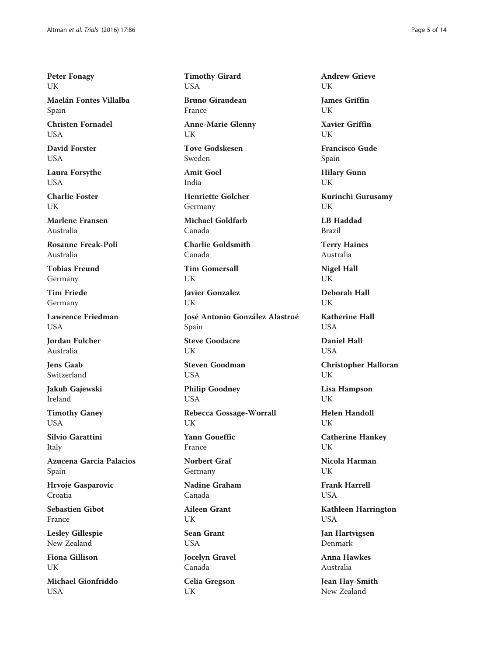Peter Fonagy UK

Maelán Fontes Villalba Spain

Christen Fornadel **I** ISA

David Forster USA

Laura Forsythe USA

Charlie Foster I IK

Marlene Fransen Australia

Rosanne Freak-Poli Australia

Tobias Freund Germany

Tim Friede Germany

Lawrence Friedman **USA** 

Jordan Fulcher Australia

Jens Gaab Switzerland

Jakub Gajewski Ireland

Timothy Ganey USA

Silvio Garattini Italy

Azucena Garcia Palacios Spain

Hrvoje Gasparovic Croatia

Sebastien Gibot France

Lesley Gillespie New Zealand

Fiona Gillison UK

Michael Gionfriddo **USA** 

Timothy Girard USA

Bruno Giraudeau France

Anne-Marie Glenny UK

Tove Godskesen Sweden

Amit Goel India

Henriette Golcher Germany

Michael Goldfarb Canada

Charlie Goldsmith Canada

Tim Gomersall UK

Javier Gonzalez UK

José Antonio González Alastrué Spain Steve Goodacre

UK Steven Goodman

**USA** 

Philip Goodney USA

Rebecca Gossage-Worrall UK

Yann Goueffic France

Norbert Graf Germany

Nadine Graham Canada

Aileen Grant UK

Sean Grant USA

Jocelyn Gravel Canada

Celia Gregson UK

Andrew Grieve UK James Griffin

UK Xavier Griffin UK

Francisco Gude Spain

Hilary Gunn UK

Kurinchi Gurusamy UK

LB Haddad Brazil

Terry Haines Australia

Nigel Hall UK

Deborah Hall UK

Katherine Hall **USA** 

Daniel Hall **USA** 

Christopher Halloran UK

Lisa Hampson UK

Helen Handoll UK

Catherine Hankey **I**IK

Nicola Harman UK

Frank Harrell USA

Kathleen Harrington USA

Jan Hartvigsen Denmark

Anna Hawkes Australia

Jean Hay-Smith New Zealand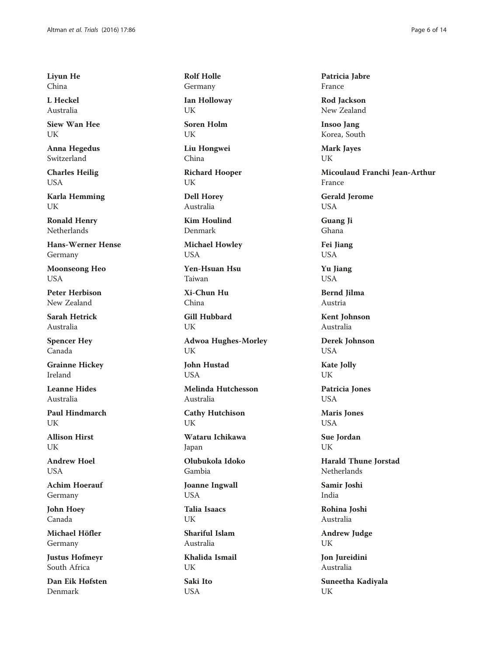Liyun He China

L Heckel Australia

Siew Wan Hee UK

Anna Hegedus Switzerland

Charles Heilig USA

Karla Hemming UK

Ronald Henry Netherlands

Hans-Werner Hense Germany

Moonseong Heo USA

Peter Herbison New Zealand

Sarah Hetrick Australia

Spencer Hey Canada

Grainne Hickey Ireland

Leanne Hides Australia

Paul Hindmarch UK

Allison Hirst **UK** 

Andrew Hoel **USA** 

Achim Hoerauf Germany

John Hoey Canada

Michael Höfler Germany

Justus Hofmeyr South Africa

Dan Eik Høfsten Denmark

Rolf Holle Germany Ian Holloway

UK

Soren Holm UK

Liu Hongwei China

Richard Hooper UK

Dell Horey Australia

Kim Houlind Denmark

Michael Howley USA

Yen-Hsuan Hsu Taiwan

Xi-Chun Hu China

Gill Hubbard UK

Adwoa Hughes-Morley UK

John Hustad **USA** 

Melinda Hutchesson Australia

Cathy Hutchison UK

Wataru Ichikawa Japan

Olubukola Idoko

Gambia Joanne Ingwall

USA

Talia Isaacs UK

Shariful Islam Australia

Khalida Ismail UK Saki Ito

USA

Patricia Jabre France

Rod Jackson New Zealand

Insoo Jang Korea, South

Mark Jayes UK

Micoulaud Franchi Jean-Arthur France

Gerald Jerome USA

Guang Ji Ghana

Fei Jiang USA

Yu Jiang **USA** 

Bernd Jilma Austria

Kent Johnson Australia

Derek Johnson USA

Kate Jolly UK

Patricia Jones USA

Maris Jones **USA** 

Sue Jordan UK

Harald Thune Jorstad Netherlands

Samir Joshi India

Rohina Joshi Australia

Andrew Judge UK

Jon Jureidini Australia

Suneetha Kadiyala UK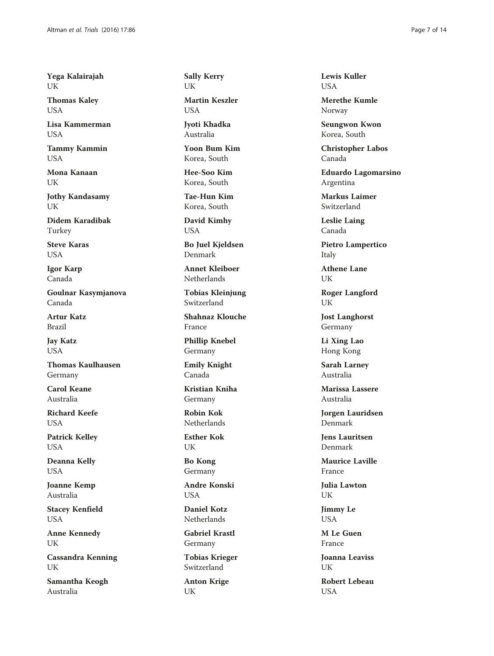Yega Kalairajah UK

Thomas Kaley USA

Lisa Kammerman USA

Tammy Kammin USA

Mona Kanaan UK

Jothy Kandasamy UK

Didem Karadibak Turkey

Steve Karas USA

Igor Karp Canada

Goulnar Kasymjanova Canada

Artur Katz Brazil

Jay Katz USA

Thomas Kaulhausen Germany

Carol Keane Australia

Richard Keefe **USA** 

Patrick Kelley USA

Deanna Kelly USA

Joanne Kemp Australia

Stacey Kenfield USA

Anne Kennedy UK

Cassandra Kenning UK

Samantha Keogh Australia

Sally Kerry UK

Martin Keszler **USA** 

Jyoti Khadka Australia

Yoon Bum Kim Korea, South

Hee-Soo Kim Korea, South

Tae-Hun Kim Korea, South

David Kimhy USA

Bo Juel Kjeldsen Denmark

Annet Kleiboer Netherlands

Tobias Kleinjung Switzerland

Shahnaz Klouche France

Phillip Knebel Germany

Emily Knight Canada

Kristian Kniha Germany

Robin Kok **Netherlands** 

Esther Kok UK

Bo Kong Germany

Andre Konski USA

Daniel Kotz Netherlands

Gabriel Krastl Germany

Tobias Krieger Switzerland

Anton Krige UK

Lewis Kuller **USA** 

Merethe Kumle Norway

Seungwon Kwon Korea, South

Christopher Labos Canada

Eduardo Lagomarsino Argentina

Markus Laimer Switzerland

Leslie Laing Canada

Pietro Lampertico Italy

Athene Lane UK

Roger Langford UK

Jost Langhorst Germany

Li Xing Lao Hong Kong

Sarah Larney Australia

Marissa Lassere Australia

Jorgen Lauridsen Denmark

Jens Lauritsen Denmark

Maurice Laville France

Julia Lawton UK

Jimmy Le **USA** 

M Le Guen France

Joanna Leaviss UK

Robert Lebeau **USA**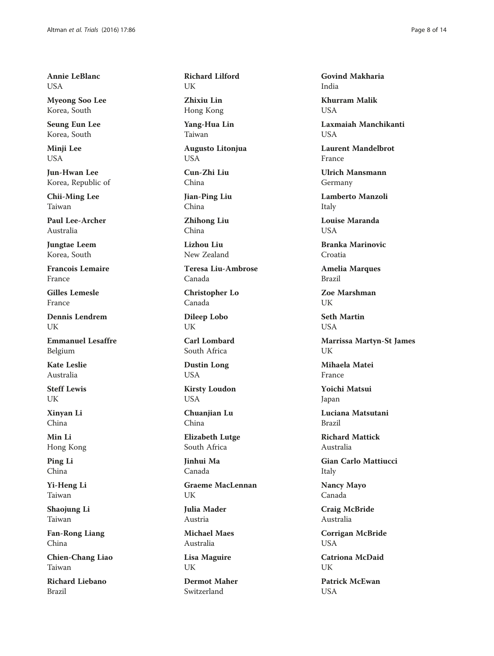Annie LeBlanc **USA** 

Myeong Soo Lee Korea, South

Seung Eun Lee Korea, South

Minji Lee USA

Jun-Hwan Lee Korea, Republic of

Chii-Ming Lee Taiwan

Paul Lee-Archer Australia

Jungtae Leem Korea, South

Francois Lemaire France

Gilles Lemesle France

Dennis Lendrem UK

Emmanuel Lesaffre Belgium

Kate Leslie Australia

Steff Lewis UK

Xinyan Li China

Min Li Hong Kong

Ping Li China

Yi-Heng Li Taiwan

Shaojung Li Taiwan

Fan-Rong Liang China

Chien-Chang Liao Taiwan

Richard Liebano Brazil

Richard Lilford UK

Zhixiu Lin Hong Kong

Yang-Hua Lin Taiwan

Augusto Litonjua USA

Cun-Zhi Liu China

Jian-Ping Liu China

Zhihong Liu China

Lizhou Liu New Zealand

Teresa Liu-Ambrose Canada

Christopher Lo Canada

Dileep Lobo UK

Carl Lombard South Africa

Dustin Long USA

Kirsty Loudon USA

Chuanjian Lu China

Elizabeth Lutge South Africa

Jinhui Ma Canada

Graeme MacLennan UK

Julia Mader Austria

Michael Maes Australia

Lisa Maguire UK

Dermot Maher Switzerland

Govind Makharia India

Khurram Malik **USA** 

Laxmaiah Manchikanti **USA** 

Laurent Mandelbrot France

Ulrich Mansmann Germany

Lamberto Manzoli Italy

Louise Maranda **USA** 

Branka Marinovic Croatia

Amelia Marques Brazil

Zoe Marshman UK

Seth Martin USA

Marrissa Martyn-St James UK

Mihaela Matei France

Yoichi Matsui Japan

Luciana Matsutani Brazil

Richard Mattick Australia

Gian Carlo Mattiucci Italy

Nancy Mayo Canada

Craig McBride Australia

Corrigan McBride USA

Catriona McDaid I IK

Patrick McEwan **USA**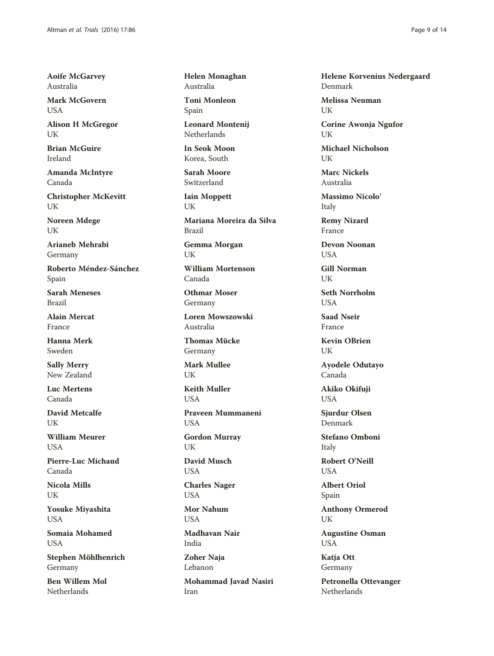Aoife McGarvey Australia

Mark McGovern **USA** 

Alison H McGregor **I** IK

Brian McGuire Ireland

Amanda McIntyre Canada

Christopher McKevitt UK

Noreen Mdege UK

Arianeb Mehrabi Germany

Roberto Méndez-Sánchez Spain

Sarah Meneses Brazil

Alain Mercat France

Hanna Merk Sweden

Sally Merry New Zealand

Luc Mertens Canada

David Metcalfe UK

William Meurer **USA** 

Pierre-Luc Michaud Canada

Nicola Mills UK

Yosuke Miyashita **USA** 

Somaia Mohamed **USA** 

Stephen Möhlhenrich Germany

Ben Willem Mol Netherlands

Helen Monaghan Australia

Toni Monleon Spain

Leonard Montenij Netherlands

In Seok Moon Korea, South

Sarah Moore Switzerland

Iain Moppett UK

Mariana Moreira da Silva Brazil

Gemma Morgan UK

William Mortenson Canada

Othmar Moser Germany

Loren Mowszowski Australia

Thomas Mücke Germany

Mark Mullee UK

Keith Muller **USA** 

Praveen Mummaneni USA

Gordon Murray UK

David Musch USA

Charles Nager USA

Mor Nahum **USA** 

Madhavan Nair India

Zoher Naja Lebanon

Mohammad Javad Nasiri Iran

Helene Korvenius Nedergaard Denmark

Melissa Neuman UK

Corine Awonja Ngufor **I** IK

Michael Nicholson UK

Marc Nickels Australia

Massimo Nicolo' Italy

Remy Nizard France

Devon Noonan **USA** 

Gill Norman UK

Seth Norrholm **USA** 

Saad Nseir France

Kevin OBrien UK

Ayodele Odutayo Canada

Akiko Okifuji USA

Sjurdur Olsen Denmark

Stefano Omboni Italy

Robert O'Neill **USA** 

Albert Oriol Spain

Anthony Ormerod UK

Augustine Osman USA

Katja Ott Germany

Petronella Ottevanger Netherlands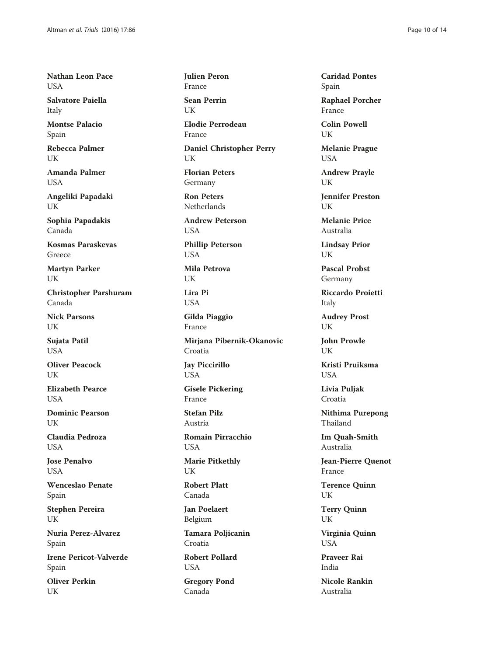Nathan Leon Pace **USA** 

Salvatore Paiella Italy

Montse Palacio Spain

Rebecca Palmer UK

Amanda Palmer **USA** 

Angeliki Papadaki UK

Sophia Papadakis Canada

Kosmas Paraskevas Greece

Martyn Parker UK

Christopher Parshuram Canada

Nick Parsons UK

Sujata Patil USA

Oliver Peacock UK

Elizabeth Pearce **USA** 

Dominic Pearson **I** IK

Claudia Pedroza **USA** 

Jose Penalvo **USA** 

Wenceslao Penate Spain

Stephen Pereira UK

Nuria Perez-Alvarez Spain

Irene Pericot-Valverde Spain

Oliver Perkin UK

Julien Peron France

Sean Perrin UK

Elodie Perrodeau France

Daniel Christopher Perry UK

Florian Peters Germany

Ron Peters Netherlands

Andrew Peterson **USA** 

Phillip Peterson USA

Mila Petrova UK

Lira Pi USA

Gilda Piaggio France

Mirjana Pibernik-Okanovic Croatia

Jay Piccirillo USA

Gisele Pickering France

Stefan Pilz Austria

Romain Pirracchio USA

Marie Pitkethly UK

Robert Platt Canada

Jan Poelaert Belgium

Tamara Poljicanin Croatia

Robert Pollard USA

Gregory Pond Canada

Caridad Pontes Spain

Raphael Porcher France

Colin Powell UK

Melanie Prague USA

Andrew Prayle UK

Jennifer Preston UK

Melanie Price Australia

Lindsay Prior UK

Pascal Probst Germany

Riccardo Proietti Italy

Audrey Prost UK

John Prowle UK

Kristi Pruiksma **USA** 

Livia Puljak Croatia

Nithima Purepong Thailand

Im Quah-Smith Australia

Jean-Pierre Quenot France

Terence Quinn UK

Terry Quinn UK

Virginia Quinn USA

Praveer Rai India

Nicole Rankin Australia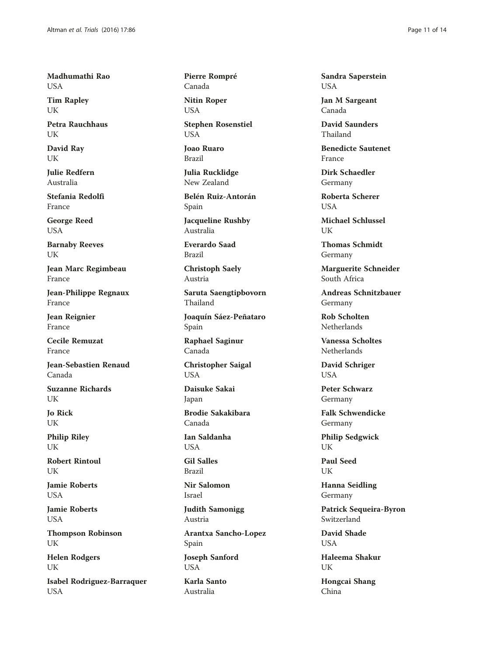Madhumathi Rao USA

Tim Rapley UK

Petra Rauchhaus UK

David Ray UK

Julie Redfern Australia

Stefania Redolfi France

George Reed USA

Barnaby Reeves UK

Jean Marc Regimbeau France

Jean-Philippe Regnaux France

Jean Reignier France

Cecile Remuzat France

Jean-Sebastien Renaud Canada

Suzanne Richards UK

Jo Rick UK

Philip Riley UK

Robert Rintoul UK

Jamie Roberts **USA** 

Jamie Roberts **USA** 

Thompson Robinson UK

Helen Rodgers UK

Isabel Rodriguez-Barraquer **USA** 

Pierre Rompré Canada

Nitin Roper USA

Stephen Rosenstiel **USA** 

Joao Ruaro Brazil

Julia Rucklidge New Zealand

Belén Ruiz-Antorán Spain

Jacqueline Rushby Australia

Everardo Saad Brazil

Christoph Saely Austria

Saruta Saengtipbovorn Thailand

Joaquín Sáez-Peñataro Spain

Raphael Saginur Canada

Christopher Saigal USA

Daisuke Sakai Japan

Brodie Sakakibara Canada

Ian Saldanha **USA** 

Gil Salles Brazil

Nir Salomon Israel

Judith Samonigg Austria

Arantxa Sancho-Lopez Spain

Joseph Sanford USA

Karla Santo Australia

Sandra Saperstein USA

Jan M Sargeant Canada

David Saunders Thailand

Benedicte Sautenet France

Dirk Schaedler Germany

Roberta Scherer **USA** 

Michael Schlussel UK

Thomas Schmidt Germany

Marguerite Schneider South Africa

Andreas Schnitzbauer Germany

Rob Scholten Netherlands

Vanessa Scholtes Netherlands

David Schriger USA

Peter Schwarz Germany

Falk Schwendicke Germany

Philip Sedgwick **I**IK

Paul Seed UK

Hanna Seidling Germany

Patrick Sequeira-Byron Switzerland

David Shade **USA** 

Haleema Shakur I IK

Hongcai Shang China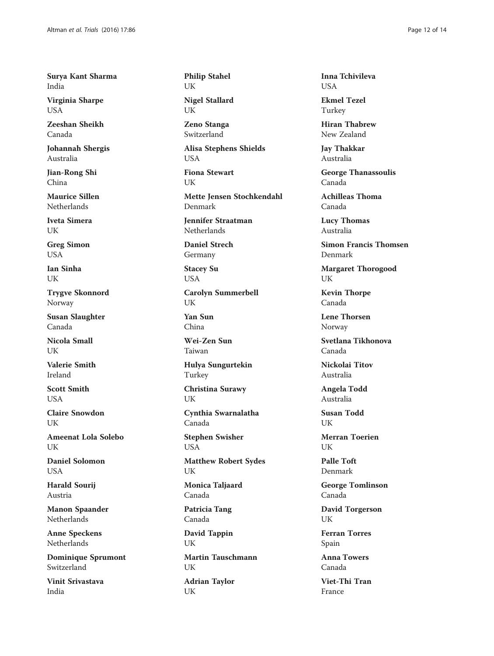Surya Kant Sharma India

Virginia Sharpe USA

Zeeshan Sheikh Canada

Johannah Shergis Australia

Jian-Rong Shi China

Maurice Sillen Netherlands

Iveta Simera UK

Greg Simon USA

Ian Sinha UK

Trygve Skonnord Norway

Susan Slaughter Canada

Nicola Small UK

Valerie Smith Ireland

Scott Smith **USA** 

Claire Snowdon **I** IK

Ameenat Lola Solebo **UK** 

Daniel Solomon **USA** 

Harald Sourij Austria

Manon Spaander Netherlands

Anne Speckens Netherlands

Dominique Sprumont Switzerland

Vinit Srivastava India

Philip Stahel UK

Nigel Stallard UK

Zeno Stanga Switzerland

Alisa Stephens Shields USA

Fiona Stewart UK

Mette Jensen Stochkendahl Denmark

Jennifer Straatman Netherlands

Daniel Strech Germany

Stacey Su USA

Carolyn Summerbell UK

Yan Sun China

Wei-Zen Sun Taiwan

Hulya Sungurtekin Turkey

Christina Surawy UK

Cynthia Swarnalatha Canada

Stephen Swisher USA

Matthew Robert Sydes UK

Monica Taljaard Canada

Patricia Tang Canada

David Tappin UK

Martin Tauschmann **I**IK Adrian Taylor UK

Inna Tchivileva **USA** 

Ekmel Tezel Turkey

Hiran Thabrew New Zealand

Jay Thakkar Australia

George Thanassoulis Canada

Achilleas Thoma Canada

Lucy Thomas Australia

Simon Francis Thomsen Denmark

Margaret Thorogood UK

Kevin Thorpe Canada

Lene Thorsen Norway

Svetlana Tikhonova Canada

Nickolai Titov Australia

Angela Todd Australia

Susan Todd UK

Merran Toerien UK

Palle Toft Denmark

George Tomlinson Canada

David Torgerson UK

Ferran Torres Spain

Anna Towers Canada

Viet-Thi Tran France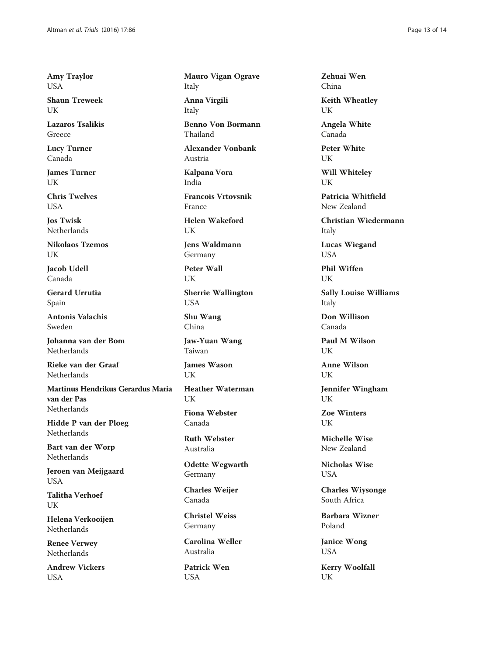Amy Traylor USA

Shaun Treweek UK

Lazaros Tsalikis Greece

Lucy Turner Canada

James Turner UK

Chris Twelves **USA** 

Jos Twisk Netherlands

Nikolaos Tzemos UK

Jacob Udell Canada

Gerard Urrutia Spain

Antonis Valachis Sweden

Johanna van der Bom Netherlands

Rieke van der Graaf Netherlands

Martinus Hendrikus Gerardus Maria van der Pas Netherlands

Hidde P van der Ploeg Netherlands

Bart van der Worp Netherlands

Jeroen van Meijgaard USA

Talitha Verhoef UK

Helena Verkooijen Netherlands

Renee Verwey Netherlands

Andrew Vickers USA

Mauro Vigan Ograve Italy Anna Virgili Italy Benno Von Bormann

Thailand

Alexander Vonbank Austria

Kalpana Vora India

Francois Vrtovsnik France

Helen Wakeford UK

Jens Waldmann Germany

Peter Wall UK

Sherrie Wallington USA

Shu Wang China

Jaw-Yuan Wang Taiwan

James Wason UK

Heather Waterman UK

Fiona Webster Canada

Ruth Webster Australia

Odette Wegwarth Germany

Charles Weijer Canada

Christel Weiss Germany

Carolina Weller Australia

Patrick Wen USA

Zehuai Wen China

Keith Wheatley UK

Angela White Canada

Peter White UK

Will Whiteley UK

Patricia Whitfield New Zealand

Christian Wiedermann Italy

Lucas Wiegand USA

Phil Wiffen UK

Sally Louise Williams Italy

Don Willison Canada

Paul M Wilson UK

Anne Wilson UK

Jennifer Wingham UK

Zoe Winters UK

Michelle Wise New Zealand

Nicholas Wise USA

Charles Wiysonge South Africa

Barbara Wizner Poland

Janice Wong USA

Kerry Woolfall UK